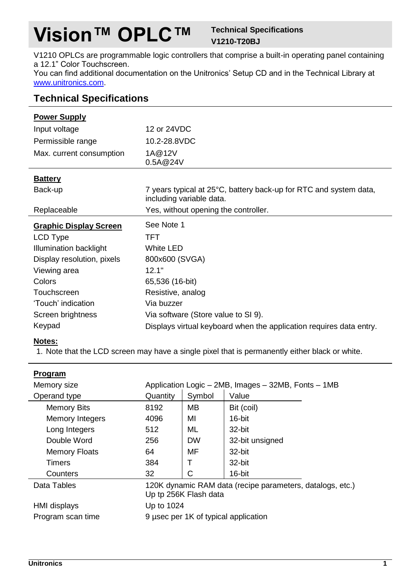# **Vision™ OPLC™ Technical Specifications**

## **V1210-T20BJ**

V1210 OPLCs are programmable logic controllers that comprise a built-in operating panel containing a 12.1" Color Touchscreen.

You can find additional documentation on the Unitronics' Setup CD and in the Technical Library at [www.unitronics.com.](http://www.unitronics.com/)

## **Technical Specifications**

| <b>Power Supply</b>      |              |
|--------------------------|--------------|
| Input voltage            | 12 or 24VDC  |
| Permissible range        | 10.2-28.8VDC |
| Max. current consumption | 1A@12V       |

0.5A@24V

|--|

| Dallei y                      |                                                                                               |
|-------------------------------|-----------------------------------------------------------------------------------------------|
| Back-up                       | 7 years typical at 25°C, battery back-up for RTC and system data,<br>including variable data. |
| Replaceable                   | Yes, without opening the controller.                                                          |
| <b>Graphic Display Screen</b> | See Note 1                                                                                    |
| LCD Type                      | TFT                                                                                           |
| Illumination backlight        | White LED                                                                                     |
| Display resolution, pixels    | 800x600 (SVGA)                                                                                |
| Viewing area                  | 12.1"                                                                                         |
| Colors                        | 65,536 (16-bit)                                                                               |
|                               |                                                                                               |

| Touchscreen        | Resistive, analog                                                   |
|--------------------|---------------------------------------------------------------------|
| 'Touch' indication | Via buzzer                                                          |
| Screen brightness  | Via software (Store value to SI 9).                                 |
| Keypad             | Displays virtual keyboard when the application requires data entry. |

### **Notes:**

<span id="page-0-0"></span>1. Note that the LCD screen may have a single pixel that is permanently either black or white.

| Program                |                                                                                    |           |                                      |
|------------------------|------------------------------------------------------------------------------------|-----------|--------------------------------------|
| Memory size            | Application Logic - 2MB, Images - 32MB, Fonts - 1MB                                |           |                                      |
| Operand type           | Quantity                                                                           | Symbol    | Value                                |
| <b>Memory Bits</b>     | 8192                                                                               | MB        | Bit (coil)                           |
| <b>Memory Integers</b> | 4096                                                                               | МΙ        | 16-bit                               |
| Long Integers          | 512                                                                                | ML        | 32-bit                               |
| Double Word            | 256                                                                                | <b>DW</b> | 32-bit unsigned                      |
| <b>Memory Floats</b>   | 64                                                                                 | MF        | 32-bit                               |
| <b>Timers</b>          | 384                                                                                | т         | 32-bit                               |
| Counters               | 32                                                                                 | С         | 16-bit                               |
| Data Tables            | 120K dynamic RAM data (recipe parameters, datalogs, etc.)<br>Up tp 256K Flash data |           |                                      |
| HMI displays           | Up to 1024                                                                         |           |                                      |
| Program scan time      |                                                                                    |           | 9 usec per 1K of typical application |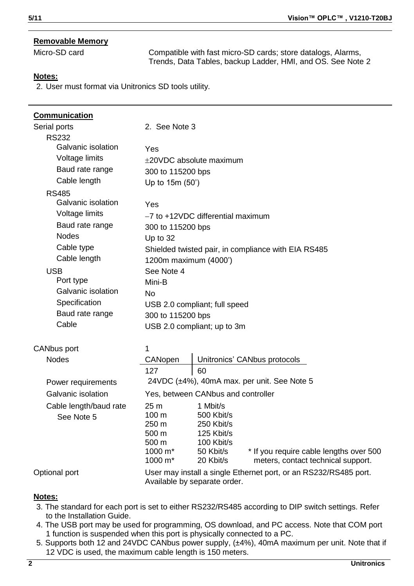#### **Removable Memory**

Micro-SD card Compatible with fast micro-SD cards; store datalogs, Alarms, Trends, Data Tables, backup Ladder, HMI, and OS. See Not[e 2](#page-1-0)

#### **Notes:**

<span id="page-1-0"></span>2. User must format via Unitronics SD tools utility.

| Communication<br>Serial ports<br><b>RS232</b>                                                                                                                                                                       | 2. See Note 3                                                                                                                                                                                                                                                                  |
|---------------------------------------------------------------------------------------------------------------------------------------------------------------------------------------------------------------------|--------------------------------------------------------------------------------------------------------------------------------------------------------------------------------------------------------------------------------------------------------------------------------|
| Galvanic isolation<br>Voltage limits                                                                                                                                                                                | Yes<br>$\pm$ 20VDC absolute maximum                                                                                                                                                                                                                                            |
| Baud rate range                                                                                                                                                                                                     | 300 to 115200 bps                                                                                                                                                                                                                                                              |
| Cable length                                                                                                                                                                                                        | Up to 15m (50')                                                                                                                                                                                                                                                                |
| <b>RS485</b><br>Galvanic isolation<br>Voltage limits<br>Baud rate range<br><b>Nodes</b><br>Cable type<br>Cable length<br><b>USB</b><br>Port type<br>Galvanic isolation<br>Specification<br>Baud rate range<br>Cable | Yes<br>-7 to +12VDC differential maximum<br>300 to 115200 bps<br>Up to 32<br>Shielded twisted pair, in compliance with EIA RS485<br>1200m maximum (4000')<br>See Note 4<br>Mini-B<br>No<br>USB 2.0 compliant; full speed<br>300 to 115200 bps<br>USB 2.0 compliant; up to 3m   |
| <b>CANbus port</b>                                                                                                                                                                                                  | 1                                                                                                                                                                                                                                                                              |
| <b>Nodes</b>                                                                                                                                                                                                        | CANopen<br>Unitronics' CANbus protocols                                                                                                                                                                                                                                        |
| Power requirements                                                                                                                                                                                                  | 127<br>60<br>24VDC $(\pm 4\%)$ , 40mA max. per unit. See Note 5                                                                                                                                                                                                                |
| Galvanic isolation                                                                                                                                                                                                  | Yes, between CANbus and controller                                                                                                                                                                                                                                             |
| Cable length/baud rate<br>See Note 5                                                                                                                                                                                | 25 <sub>m</sub><br>1 Mbit/s<br>100 <sub>m</sub><br>500 Kbit/s<br>250 m<br>250 Kbit/s<br>125 Kbit/s<br>500 m<br>100 Kbit/s<br>500 m<br>* If you require cable lengths over 500<br>1000 m*<br>50 Kbit/s<br>$1000 \text{ m}^*$<br>20 Kbit/s<br>meters, contact technical support. |
| Optional port                                                                                                                                                                                                       | User may install a single Ethernet port, or an RS232/RS485 port.<br>Available by separate order.                                                                                                                                                                               |

#### **Notes:**

- <span id="page-1-1"></span>3. The standard for each port is set to either RS232/RS485 according to DIP switch settings. Refer to the Installation Guide.
- <span id="page-1-2"></span>4. The USB port may be used for programming, OS download, and PC access. Note that COM port 1 function is suspended when this port is physically connected to a PC.
- <span id="page-1-3"></span>5. Supports both 12 and 24VDC CANbus power supply, (±4%), 40mA maximum per unit. Note that if 12 VDC is used, the maximum cable length is 150 meters.